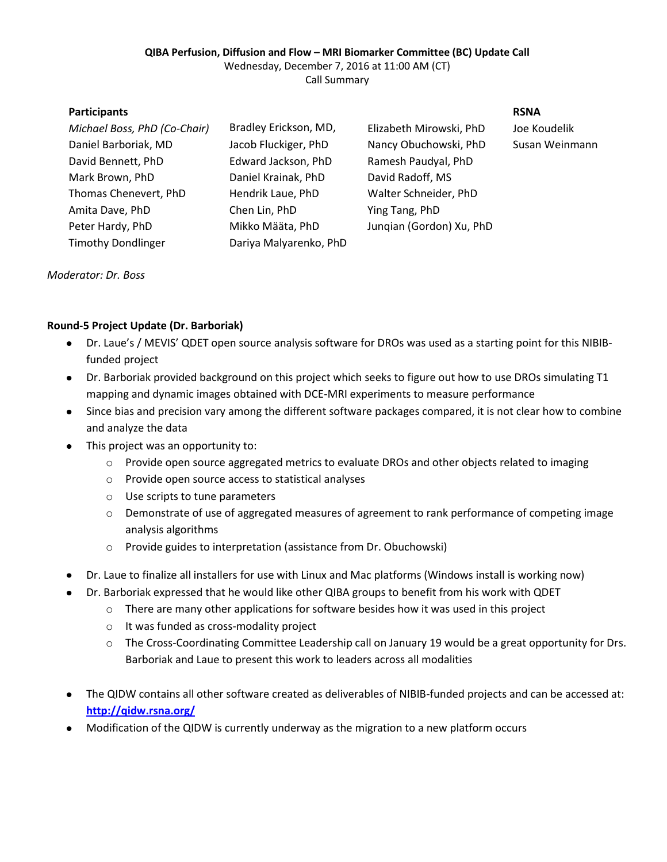## **QIBA Perfusion, Diffusion and Flow – MRI Biomarker Committee (BC) Update Call**

Wednesday, December 7, 2016 at 11:00 AM (CT)

Call Summary

| <b>Participants</b>          |                        |                          | <b>RSNA</b> |
|------------------------------|------------------------|--------------------------|-------------|
| Michael Boss, PhD (Co-Chair) | Bradley Erickson, MD,  | Elizabeth Mirowski, PhD  | Joe Ko      |
| Daniel Barboriak, MD         | Jacob Fluckiger, PhD   | Nancy Obuchowski, PhD    | Susan       |
| David Bennett, PhD           | Edward Jackson, PhD    | Ramesh Paudyal, PhD      |             |
| Mark Brown, PhD              | Daniel Krainak, PhD    | David Radoff, MS         |             |
| Thomas Chenevert, PhD        | Hendrik Laue, PhD      | Walter Schneider, PhD    |             |
| Amita Dave, PhD              | Chen Lin, PhD          | Ying Tang, PhD           |             |
| Peter Hardy, PhD             | Mikko Määta, PhD       | Jungian (Gordon) Xu, PhD |             |
| <b>Timothy Dondlinger</b>    | Dariya Malyarenko, PhD |                          |             |
|                              |                        |                          |             |

hD Joe Koudelik hD Susan Weinmann

# *Moderator: Dr. Boss*

# **Round-5 Project Update (Dr. Barboriak)**

- Dr. Laue's / MEVIS' QDET open source analysis software for DROs was used as a starting point for this NIBIBfunded project
- Dr. Barboriak provided background on this project which seeks to figure out how to use DROs simulating T1 mapping and dynamic images obtained with DCE-MRI experiments to measure performance
- Since bias and precision vary among the different software packages compared, it is not clear how to combine  $\bullet$ and analyze the data
- This project was an opportunity to:  $\bullet$ 
	- $\circ$  Provide open source aggregated metrics to evaluate DROs and other objects related to imaging
	- o Provide open source access to statistical analyses
	- o Use scripts to tune parameters
	- o Demonstrate of use of aggregated measures of agreement to rank performance of competing image analysis algorithms
	- o Provide guides to interpretation (assistance from Dr. Obuchowski)
- Dr. Laue to finalize all installers for use with Linux and Mac platforms (Windows install is working now)
- Dr. Barboriak expressed that he would like other QIBA groups to benefit from his work with QDET
	- $\circ$  There are many other applications for software besides how it was used in this project
	- o It was funded as cross-modality project
	- o The Cross-Coordinating Committee Leadership call on January 19 would be a great opportunity for Drs. Barboriak and Laue to present this work to leaders across all modalities
- The QIDW contains all other software created as deliverables of NIBIB-funded projects and can be accessed at: **<http://qidw.rsna.org/>**
- Modification of the QIDW is currently underway as the migration to a new platform occurs